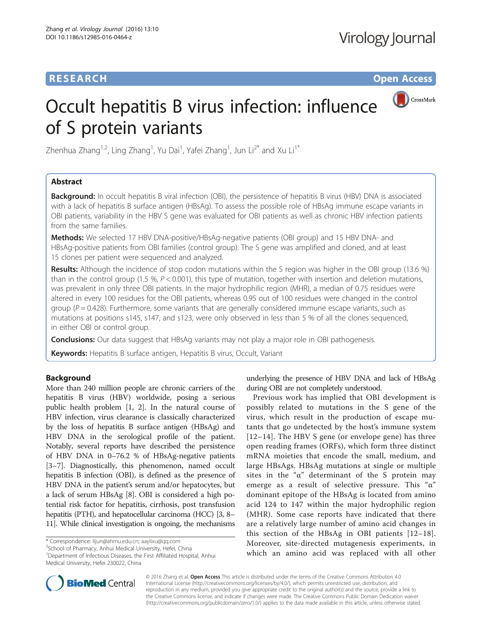# **RESEARCH RESEARCH** *CHECKER CHECKER CHECKER CHECKER CHECKER CHECKER CHECKER CHECKER CHECKER CHECKER CHECKER*

# CrossMark Occult hepatitis B virus infection: influence of S protein variants

Zhenhua Zhang<sup>1,2</sup>, Ling Zhang<sup>1</sup>, Yu Dai<sup>1</sup>, Yafei Zhang<sup>1</sup>, Jun Li<sup>2\*</sup> and Xu Li<sup>1\*</sup>

## Abstract

**Background:** In occult hepatitis B viral infection (OBI), the persistence of hepatitis B virus (HBV) DNA is associated with a lack of hepatitis B surface antigen (HBsAg). To assess the possible role of HBsAg immune escape variants in OBI patients, variability in the HBV S gene was evaluated for OBI patients as well as chronic HBV infection patients from the same families.

Methods: We selected 17 HBV DNA-positive/HBsAg-negative patients (OBI group) and 15 HBV DNA- and HBsAg-positive patients from OBI families (control group). The S gene was amplified and cloned, and at least 15 clones per patient were sequenced and analyzed.

Results: Although the incidence of stop codon mutations within the S region was higher in the OBI group (13.6 %) than in the control group (1.5 %,  $P < 0.001$ ), this type of mutation, together with insertion and deletion mutations, was prevalent in only three OBI patients. In the major hydrophilic region (MHR), a median of 0.75 residues were altered in every 100 residues for the OBI patients, whereas 0.95 out of 100 residues were changed in the control group ( $P = 0.428$ ). Furthermore, some variants that are generally considered immune escape variants, such as mutations at positions s145, s147, and s123, were only observed in less than 5 % of all the clones sequenced, in either OBI or control group.

**Conclusions:** Our data suggest that HBsAg variants may not play a major role in OBI pathogenesis.

Keywords: Hepatitis B surface antigen, Hepatitis B virus, Occult, Variant

## Background

More than 240 million people are chronic carriers of the hepatitis B virus (HBV) worldwide, posing a serious public health problem [[1](#page-9-0), [2](#page-9-0)]. In the natural course of HBV infection, virus clearance is classically characterized by the loss of hepatitis B surface antigen (HBsAg) and HBV DNA in the serological profile of the patient. Notably, several reports have described the persistence of HBV DNA in 0–76.2 % of HBsAg-negative patients [[3](#page-9-0)–[7](#page-9-0)]. Diagnostically, this phenomenon, named occult hepatitis B infection (OBI), is defined as the presence of HBV DNA in the patient's serum and/or hepatocytes, but a lack of serum HBsAg [\[8](#page-9-0)]. OBI is considered a high potential risk factor for hepatitis, cirrhosis, post transfusion hepatitis (PTH), and hepatocellular carcinoma (HCC) [\[3, 8](#page-9-0)– [11\]](#page-10-0). While clinical investigation is ongoing, the mechanisms

\* Correspondence: [lijun@ahmu.edu.cn](mailto:lijun@ahmu.edu.cn); [aaylixu@qq.com](mailto:aaylixu@qq.com) <sup>2</sup>

<sup>2</sup>School of Pharmacy, Anhui Medical University, Hefei, China

<sup>1</sup>Department of Infectious Diseases, the First Affiliated Hospital, Anhui Medical University, Hefei 230022, China

underlying the presence of HBV DNA and lack of HBsAg during OBI are not completely understood.

Previous work has implied that OBI development is possibly related to mutations in the S gene of the virus, which result in the production of escape mutants that go undetected by the host's immune system [[12](#page-10-0)–[14\]](#page-10-0). The HBV S gene (or envelope gene) has three open reading frames (ORFs), which form three distinct mRNA moieties that encode the small, medium, and large HBsAgs. HBsAg mutations at single or multiple sites in the " $\alpha$ " determinant of the S protein may emerge as a result of selective pressure. This "α" dominant epitope of the HBsAg is located from amino acid 124 to 147 within the major hydrophilic region (MHR). Some case reports have indicated that there are a relatively large number of amino acid changes in this section of the HBsAg in OBI patients [[12](#page-10-0)–[18](#page-10-0)]. Moreover, site-directed mutagenesis experiments, in which an amino acid was replaced with all other



© 2016 Zhang et al. Open Access This article is distributed under the terms of the Creative Commons Attribution 4.0 International License [\(http://creativecommons.org/licenses/by/4.0/](http://creativecommons.org/licenses/by/4.0/)), which permits unrestricted use, distribution, and reproduction in any medium, provided you give appropriate credit to the original author(s) and the source, provide a link to the Creative Commons license, and indicate if changes were made. The Creative Commons Public Domain Dedication waiver [\(http://creativecommons.org/publicdomain/zero/1.0/](http://creativecommons.org/publicdomain/zero/1.0/)) applies to the data made available in this article, unless otherwise stated.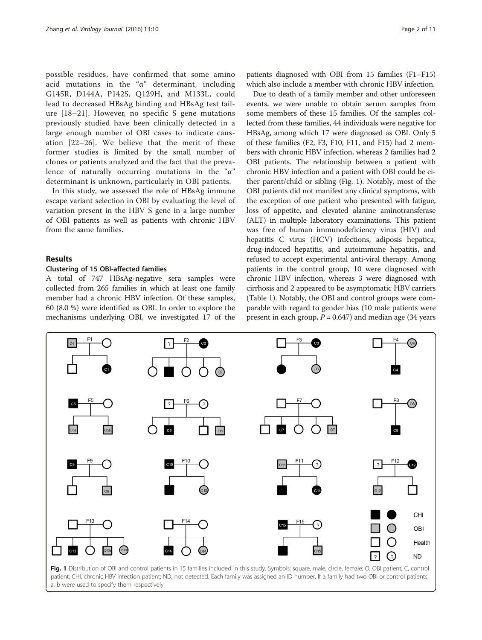possible residues, have confirmed that some amino acid mutations in the "α" determinant, including G145R, D144A, P142S, Q129H, and M133L, could lead to decreased HBsAg binding and HBsAg test failure [[18](#page-10-0)–[21](#page-10-0)]. However, no specific S gene mutations previously studied have been clinically detected in a large enough number of OBI cases to indicate causation [[22](#page-10-0)–[26](#page-10-0)]. We believe that the merit of these former studies is limited by the small number of clones or patients analyzed and the fact that the prevalence of naturally occurring mutations in the " $\alpha$ " determinant is unknown, particularly in OBI patients.

In this study, we assessed the role of HBsAg immune escape variant selection in OBI by evaluating the level of variation present in the HBV S gene in a large number of OBI patients as well as patients with chronic HBV from the same families.

## Results

## Clustering of 15 OBI-affected families

A total of 747 HBsAg-negative sera samples were collected from 265 families in which at least one family member had a chronic HBV infection. Of these samples, 60 (8.0 %) were identified as OBI. In order to explore the mechanisms underlying OBI, we investigated 17 of the

patients diagnosed with OBI from 15 families (F1–F15) which also include a member with chronic HBV infection.

Due to death of a family member and other unforeseen events, we were unable to obtain serum samples from some members of these 15 families. Of the samples collected from these families, 44 individuals were negative for HBsAg, among which 17 were diagnosed as OBI. Only 5 of these families (F2, F3, F10, F11, and F15) had 2 members with chronic HBV infection, whereas 2 families had 2 OBI patients. The relationship between a patient with chronic HBV infection and a patient with OBI could be either parent/child or sibling (Fig. 1). Notably, most of the OBI patients did not manifest any clinical symptoms, with the exception of one patient who presented with fatigue, loss of appetite, and elevated alanine aminotransferase (ALT) in multiple laboratory examinations. This patient was free of human immunodeficiency virus (HIV) and hepatitis C virus (HCV) infections, adiposis hepatica, drug-induced hepatitis, and autoimmune hepatitis, and refused to accept experimental anti-viral therapy. Among patients in the control group, 10 were diagnosed with chronic HBV infection, whereas 3 were diagnosed with cirrhosis and 2 appeared to be asymptomatic HBV carriers (Table [1](#page-2-0)). Notably, the OBI and control groups were comparable with regard to gender bias (10 male patients were present in each group,  $P = 0.647$ ) and median age (34 years



a, b were used to specify them respectively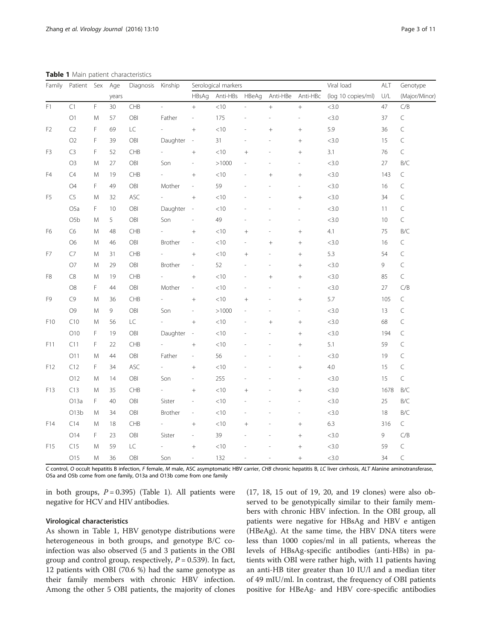<span id="page-2-0"></span>Table 1 Main patient characteristics

| Family          | Patient Sex      |             | Age   | Diagnosis  | Kinship  |                          | Serological markers |            |                  | Viral load       | ALT                | Genotype        |               |  |  |  |
|-----------------|------------------|-------------|-------|------------|----------|--------------------------|---------------------|------------|------------------|------------------|--------------------|-----------------|---------------|--|--|--|
|                 |                  |             | years |            |          | HBsAg                    | Anti-HBs            | HBeAg      | Anti-HBe         | Anti-HBc         | (log 10 copies/ml) | U/L             | (Major/Minor) |  |  |  |
| F1              | C1               | $\mathsf F$ | 30    | CHB        |          | $^+$                     | < 10                |            | $\boldsymbol{+}$ | $\! +$           | <3.0               | 47              | C/B           |  |  |  |
|                 | $\bigcirc$ 1     | M           | 57    | OBI        | Father   | $\overline{\phantom{a}}$ | 175                 |            |                  |                  | <3.0               | 37              | $\subset$     |  |  |  |
| F <sub>2</sub>  | C <sub>2</sub>   | F           | 69    | LC         |          | $+$                      | < 10                |            | $^{+}$           | $^{+}$           | 5.9                | 36              | $\subset$     |  |  |  |
|                 | O <sub>2</sub>   | F           | 39    | OBI        | Daughter | $\overline{\phantom{a}}$ | 31                  |            |                  | $\! + \!$        | <3.0               | 15              | $\subset$     |  |  |  |
| F <sub>3</sub>  | C <sub>3</sub>   | F           | 52    | CHB        |          | $\boldsymbol{+}$         | < 10                | $^{+}$     |                  | $^{+}$           | 3.1                | 76              | $\subset$     |  |  |  |
|                 | O <sub>3</sub>   | M           | 27    | OBI        | Son      | L,                       | >1000               |            |                  |                  | <3.0               | 27              | B/C           |  |  |  |
| F4              | C4               | M           | 19    | CHB        |          | $\boldsymbol{+}$         | $<$ 10              |            | $^{+}$           | $\boldsymbol{+}$ | <3.0               | 143             | $\subset$     |  |  |  |
|                 | O <sub>4</sub>   | F.          | 49    | OBI        | Mother   |                          | 59                  |            |                  |                  | <3.0               | $\subset$<br>16 |               |  |  |  |
| F <sub>5</sub>  | C5               | M           | 32    | ASC        |          | $^{+}$                   | < 10                |            |                  |                  | <3.0               | 34              | $\subset$     |  |  |  |
|                 | O <sub>5</sub> a | F           | 10    | OBI        | Daughter | $\overline{\phantom{a}}$ | $<$ 10              |            |                  |                  | <3.0               | 11              | $\subset$     |  |  |  |
|                 | O <sub>5</sub> b | M           | 5     | OBI        | Son      | ÷,                       | 49                  |            |                  |                  | <3.0               | 10              | $\subset$     |  |  |  |
| F <sub>6</sub>  | C6               | M           | 48    | CHB        |          | $^+$                     | < 10                | $^{+}$     |                  | $^{+}$           | 4.1                | 75              | B/C           |  |  |  |
|                 | O <sub>6</sub>   | M           | 46    | OBI        | Brother  | $\overline{\phantom{a}}$ | < 10                |            | $^{+}$           | $^{+}$           | <3.0               | 16              | $\subset$     |  |  |  |
| F7              | C7               | M           | 31    | CHB        |          | $+$                      | $<$ 10              | $^{+}$     |                  | $^{+}$           | 5.3                | 54              | $\subset$     |  |  |  |
|                 | O7               | M           | 29    | OBI        | Brother  | $\overline{\phantom{a}}$ | 52                  |            |                  | $^{+}$           | <3.0               | 9               | $\mathsf C$   |  |  |  |
| F8              | C8               | M           | 19    | CHB        |          | $\! +$                   | $<$ 10              |            | $^{+}$           | $\! + \!\!\!\!$  | <3.0               | 85              | $\subset$     |  |  |  |
|                 | O <sub>8</sub>   | F.          | 44    | OBI        | Mother   | L,                       | < 10                |            |                  |                  | <3.0               | 27              | C/B           |  |  |  |
| F9              | C9               | M           | 36    | CHB        |          | $^{+}$                   | $<10$               | $\ddot{+}$ |                  |                  | 5.7                | 105             | $\subset$     |  |  |  |
|                 | O <sub>9</sub>   | M           | 9     | OBI        | Son      |                          | >1000               |            |                  |                  | <3.0               | 13              | $\subset$     |  |  |  |
| F10             | C10              | M           | 56    | LC         |          | $\boldsymbol{+}$         | < 10                |            | $^{+}$           | $\! + \!$        | <3.0               | 68              | $\subset$     |  |  |  |
|                 | O10              | F           | 19    | OBI        | Daughter | $\overline{\phantom{a}}$ | < 10                |            |                  | $^{+}$           | <3.0               | 194             | $\mathsf C$   |  |  |  |
| F11             | C11              | F           | 22    | <b>CHB</b> |          |                          | $<$ 10              |            |                  | $^{+}$           | 5.1                | 59              | $\subset$     |  |  |  |
|                 | O11              | M           | 44    | OBI        | Father   | $\overline{\phantom{a}}$ | 56                  |            |                  |                  | <3.0               | 19              | $\subset$     |  |  |  |
| F12             | C12              | F.          | 34    | <b>ASC</b> |          |                          | < 10                |            |                  |                  | 4.0                | 15              | $\subset$     |  |  |  |
|                 | O12              | M           | 14    | OBI        | Son      | L,                       | 255                 |            |                  |                  | <3.0               | 15              | $\subset$     |  |  |  |
| F13             | C13              | M           | 35    | CHB        |          | $\boldsymbol{+}$         | $<$ 10              | $^{+}$     |                  |                  | <3.0               | 1678            | B/C           |  |  |  |
|                 | O13a             | F           | 40    | OBI        | Sister   | $\overline{\phantom{a}}$ | $<$ 10              |            |                  |                  | <3.0               | 25              | B/C           |  |  |  |
|                 | O13b             | M           | 34    | OBI        | Brother  | $\overline{\phantom{a}}$ | < 10                |            |                  |                  | <3.0               | 18              | B/C           |  |  |  |
| F14             | C14              | M           | 18    | CHB        |          |                          | $<$ 10              | $\ddot{}$  |                  |                  | 6.3                | 316             | $\subset$     |  |  |  |
|                 | 014              | F           | 23    | OBI        | Sister   | $\overline{a}$           | 39                  |            |                  | $^{+}$           | <3.0               | 9               | C/B           |  |  |  |
| F <sub>15</sub> | C15              | M           | 59    | LC         |          | $^+$                     | $<$ 10              |            |                  | $^{+}$           | <3.0               | 59              | $\mathsf C$   |  |  |  |
|                 | O15              | M           | 36    | OBI        | Son      | $\overline{\phantom{a}}$ | 132                 |            |                  | $\ddot{}$        | <3.0               | 34              | $\subset$     |  |  |  |

C control, O occult hepatitis B infection, F female, M male, ASC asymptomatic HBV carrier, CHB chronic hepatitis B, LC liver cirrhosis, ALT Alanine aminotransferase, O5a and O5b come from one family, O13a and O13b come from one family

in both groups,  $P = 0.395$ ) (Table 1). All patients were negative for HCV and HIV antibodies.

## Virological characteristics

As shown in Table 1, HBV genotype distributions were heterogeneous in both groups, and genotype B/C coinfection was also observed (5 and 3 patients in the OBI group and control group, respectively,  $P = 0.539$ ). In fact, 12 patients with OBI (70.6 %) had the same genotype as their family members with chronic HBV infection. Among the other 5 OBI patients, the majority of clones (17, 18, 15 out of 19, 20, and 19 clones) were also observed to be genotypically similar to their family members with chronic HBV infection. In the OBI group, all patients were negative for HBsAg and HBV e antigen (HBeAg). At the same time, the HBV DNA titers were less than 1000 copies/ml in all patients, whereas the levels of HBsAg-specific antibodies (anti-HBs) in patients with OBI were rather high, with 11 patients having an anti-HB titer greater than 10 IU/l and a median titer of 49 mIU/ml. In contrast, the frequency of OBI patients positive for HBeAg- and HBV core-specific antibodies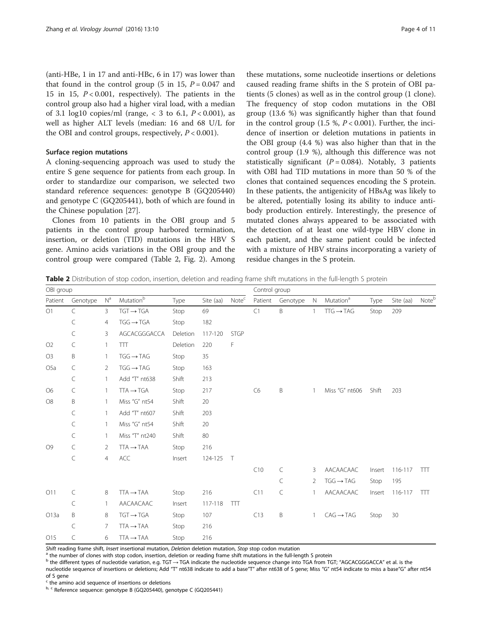<span id="page-3-0"></span>(anti-HBe, 1 in 17 and anti-HBc, 6 in 17) was lower than that found in the control group (5 in 15,  $P = 0.047$  and 15 in 15,  $P < 0.001$ , respectively). The patients in the control group also had a higher viral load, with a median of 3.1 log10 copies/ml (range, < 3 to 6.1,  $P < 0.001$ ), as well as higher ALT levels (median: 16 and 68 U/L for the OBI and control groups, respectively,  $P < 0.001$ ).

## Surface region mutations

A cloning-sequencing approach was used to study the entire S gene sequence for patients from each group. In order to standardize our comparison, we selected two standard reference sequences: genotype B (GQ205440) and genotype C (GQ205441), both of which are found in the Chinese population [\[27\]](#page-10-0).

Clones from 10 patients in the OBI group and 5 patients in the control group harbored termination, insertion, or deletion (TID) mutations in the HBV S gene. Amino acids variations in the OBI group and the control group were compared (Table 2, Fig. [2\)](#page-4-0). Among

these mutations, some nucleotide insertions or deletions caused reading frame shifts in the S protein of OBI patients (5 clones) as well as in the control group (1 clone). The frequency of stop codon mutations in the OBI group (13.6 %) was significantly higher than that found in the control group  $(1.5 \%, P < 0.001)$ . Further, the incidence of insertion or deletion mutations in patients in the OBI group (4.4 %) was also higher than that in the control group (1.9 %), although this difference was not statistically significant ( $P = 0.084$ ). Notably, 3 patients with OBI had TID mutations in more than 50 % of the clones that contained sequences encoding the S protein. In these patients, the antigenicity of HBsAg was likely to be altered, potentially losing its ability to induce antibody production entirely. Interestingly, the presence of mutated clones always appeared to be associated with the detection of at least one wild-type HBV clone in each patient, and the same patient could be infected with a mixture of HBV strains incorporating a variety of residue changes in the S protein.

Table 2 Distribution of stop codon, insertion, deletion and reading frame shift mutations in the full-length S protein

| OBI group                                                                          |           |                |                                  |          | Control group |                   |                |           |             |                       |        |           |       |  |  |  |  |
|------------------------------------------------------------------------------------|-----------|----------------|----------------------------------|----------|---------------|-------------------|----------------|-----------|-------------|-----------------------|--------|-----------|-------|--|--|--|--|
| Patient                                                                            | Genotype  | N <sup>a</sup> | $\mathsf{Mutation}^{\mathsf{b}}$ | Type     | Site (aa)     | Note <sup>c</sup> | Patient        | Genotype  | $\mathbb N$ | Mutation <sup>a</sup> | Type   | Site (aa) | Noteb |  |  |  |  |
| O1                                                                                 | $\subset$ | 3              | $TGT \rightarrow TGA$            | Stop     | 69            |                   | C1             | B         | 1           | $TTG \rightarrow TAG$ | Stop   | 209       |       |  |  |  |  |
|                                                                                    | C         | 4              | $TGG \rightarrow TGA$            | Stop     | 182           |                   |                |           |             |                       |        |           |       |  |  |  |  |
|                                                                                    | $\subset$ | 3              | AGCACGGGACCA                     | Deletion | 117-120       | <b>STGP</b>       |                |           |             |                       |        |           |       |  |  |  |  |
| O2                                                                                 | C         | $\mathbf{1}$   | TTT                              | Deletion | 220           | F                 |                |           |             |                       |        |           |       |  |  |  |  |
| O <sub>3</sub>                                                                     | B         | 1              | $TGG \rightarrow TAG$            | Stop     | 35            |                   |                |           |             |                       |        |           |       |  |  |  |  |
| O <sub>5</sub> a                                                                   | C         | 2              | $TGG \rightarrow TAG$            | Stop     | 163           |                   |                |           |             |                       |        |           |       |  |  |  |  |
|                                                                                    | C         | 1              | Add "T" nt638                    | Shift    | 213           |                   |                |           |             |                       |        |           |       |  |  |  |  |
| O <sub>6</sub>                                                                     | C         | 1              | $TTA \rightarrow TGA$            | Stop     | 217           |                   | C <sub>6</sub> | B         |             | Miss "G" nt606        | Shift  | 203       |       |  |  |  |  |
| O <sub>8</sub><br>O <sub>9</sub>                                                   | B         | 1              | Miss "G" nt54                    | Shift    | 20            |                   |                |           |             |                       |        |           |       |  |  |  |  |
|                                                                                    | $\subset$ |                | Add "T" nt607                    | Shift    | 203           |                   |                |           |             |                       |        |           |       |  |  |  |  |
|                                                                                    | $\subset$ | $\mathbf{1}$   | Miss "G" nt54                    | Shift    | 20            |                   |                |           |             |                       |        |           |       |  |  |  |  |
| $\subset$<br>$\subset$<br>C<br>O11<br>C<br>$\subset$<br>B<br>O13a<br>C<br>C<br>O15 |           | 1              | Miss "T" nt240                   | Shift    | 80            |                   |                |           |             |                       |        |           |       |  |  |  |  |
|                                                                                    |           | 2              | $TTA \rightarrow TAA$            | Stop     | 216           |                   |                |           |             |                       |        |           |       |  |  |  |  |
|                                                                                    |           | 4              | ACC                              | Insert   | 124-125       | $\top$            |                |           |             |                       |        |           |       |  |  |  |  |
|                                                                                    |           |                |                                  |          |               |                   | C10            | $\subset$ | 3           | AACAACAAC             | Insert | 116-117   | TTT   |  |  |  |  |
|                                                                                    |           |                |                                  |          |               |                   |                | $\subset$ | 2           | $TGG \rightarrow TAG$ | Stop   | 195       |       |  |  |  |  |
|                                                                                    |           | 8              | $TTA \rightarrow TAA$            | Stop     | 216           |                   | C11            | C         |             | AACAACAAC             | Insert | 116-117   | TTT   |  |  |  |  |
|                                                                                    |           | 1              | AACAACAAC                        | Insert   | 117-118       | TIT               |                |           |             |                       |        |           |       |  |  |  |  |
|                                                                                    |           | 8              | $TGT \rightarrow TGA$            | Stop     | 107           |                   | C13            | Β         | 1           | $CAG \rightarrow TAG$ | Stop   | 30        |       |  |  |  |  |
|                                                                                    |           | $\overline{7}$ | $TTA \rightarrow TAA$            | Stop     | 216           |                   |                |           |             |                       |        |           |       |  |  |  |  |
|                                                                                    |           | 6              | $TTA \rightarrow TAA$            | Stop     | 216           |                   |                |           |             |                       |        |           |       |  |  |  |  |

Shift reading frame shift, Insert insertional mutation, Deletion deletion mutation, Stop stop codon mutation<br><sup>a</sup> the number of clones with stop codon, insertion, deletion or reading frame shift mutations in the full-length

 $^{\rm b}$  the different types of nucleotide variation, e.g. TGT  $\rightarrow$  TGA indicate the nucleotide sequence change into TGA from TGT; "AGCACGGGACCA" et al. is the nucleotide sequence of insertions or deletions; Add "T" nt638 indicate to add a base"T" after nt638 of S gene; Miss "G" nt54 indicate to miss a base"G" after nt54 of S gene

the amino acid sequence of insertions or deletions

b, c Reference sequence: genotype B (GQ205440), genotype C (GQ205441)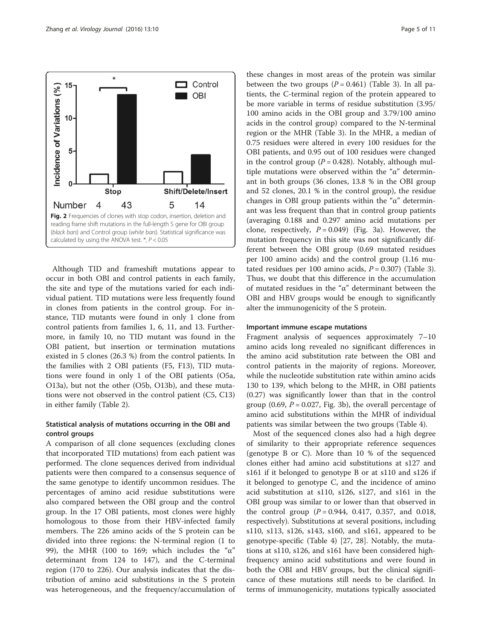<span id="page-4-0"></span>

Although TID and frameshift mutations appear to occur in both OBI and control patients in each family, the site and type of the mutations varied for each individual patient. TID mutations were less frequently found in clones from patients in the control group. For instance, TID mutants were found in only 1 clone from control patients from families 1, 6, 11, and 13. Furthermore, in family 10, no TID mutant was found in the OBI patient, but insertion or termination mutations existed in 5 clones (26.3 %) from the control patients. In the families with 2 OBI patients (F5, F13), TID mutations were found in only 1 of the OBI patients (O5a, O13a), but not the other (O5b, O13b), and these mutations were not observed in the control patient (C5, C13) in either family (Table [2](#page-3-0)).

## Statistical analysis of mutations occurring in the OBI and control groups

A comparison of all clone sequences (excluding clones that incorporated TID mutations) from each patient was performed. The clone sequences derived from individual patients were then compared to a consensus sequence of the same genotype to identify uncommon residues. The percentages of amino acid residue substitutions were also compared between the OBI group and the control group. In the 17 OBI patients, most clones were highly homologous to those from their HBV-infected family members. The 226 amino acids of the S protein can be divided into three regions: the N-terminal region (1 to 99), the MHR (100 to 169; which includes the "α" determinant from 124 to 147), and the C-terminal region (170 to 226). Our analysis indicates that the distribution of amino acid substitutions in the S protein was heterogeneous, and the frequency/accumulation of

these changes in most areas of the protein was similar between the two groups  $(P = 0.461)$  (Table [3\)](#page-5-0). In all patients, the C-terminal region of the protein appeared to be more variable in terms of residue substitution (3.95/ 100 amino acids in the OBI group and 3.79/100 amino acids in the control group) compared to the N-terminal region or the MHR (Table [3\)](#page-5-0). In the MHR, a median of 0.75 residues were altered in every 100 residues for the OBI patients, and 0.95 out of 100 residues were changed in the control group ( $P = 0.428$ ). Notably, although multiple mutations were observed within the "α" determinant in both groups (36 clones, 13.8 % in the OBI group and 52 clones, 20.1 % in the control group), the residue changes in OBI group patients within the " $\alpha$ " determinant was less frequent than that in control group patients (averaging 0.188 and 0.297 amino acid mutations per clone, respectively,  $P = 0.049$ ) (Fig. [3a](#page-7-0)). However, the mutation frequency in this site was not significantly different between the OBI group (0.69 mutated residues per 100 amino acids) and the control group (1.16 mutated residues per 100 amino acids,  $P = 0.307$ ) (Table [3](#page-5-0)). Thus, we doubt that this difference in the accumulation of mutated residues in the "α" determinant between the OBI and HBV groups would be enough to significantly alter the immunogenicity of the S protein.

## Important immune escape mutations

Fragment analysis of sequences approximately 7–10 amino acids long revealed no significant differences in the amino acid substitution rate between the OBI and control patients in the majority of regions. Moreover, while the nucleotide substitution rate within amino acids 130 to 139, which belong to the MHR, in OBI patients (0.27) was significantly lower than that in the control group (0.69,  $P = 0.027$ , Fig. [3b\)](#page-7-0), the overall percentage of amino acid substitutions within the MHR of individual patients was similar between the two groups (Table [4](#page-7-0)).

Most of the sequenced clones also had a high degree of similarity to their appropriate reference sequences (genotype B or C). More than 10 % of the sequenced clones either had amino acid substitutions at s127 and s161 if it belonged to genotype B or at s110 and s126 if it belonged to genotype C, and the incidence of amino acid substitution at s110, s126, s127, and s161 in the OBI group was similar to or lower than that observed in the control group  $(P = 0.944, 0.417, 0.357,$  and 0.018, respectively). Substitutions at several positions, including s110, s113, s126, s143, s160, and s161, appeared to be genotype-specific (Table [4\)](#page-7-0) [[27, 28\]](#page-10-0). Notably, the mutations at s110, s126, and s161 have been considered highfrequency amino acid substitutions and were found in both the OBI and HBV groups, but the clinical significance of these mutations still needs to be clarified. In terms of immunogenicity, mutations typically associated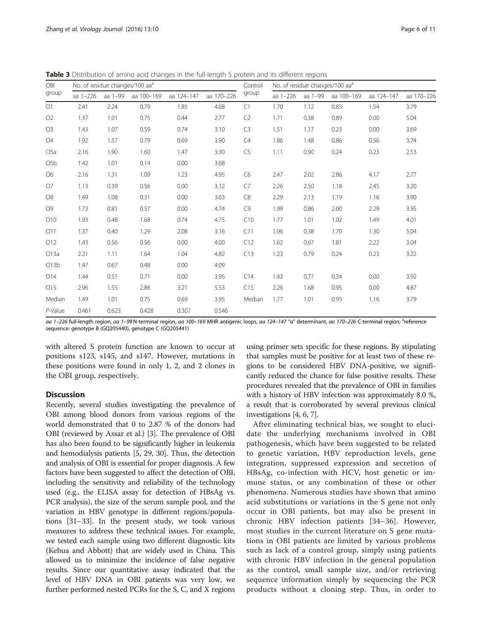| OBI              |              |         | No. of residue changes/100 aa <sup>a</sup> |            |            | Control        |                  |      | No. of residue changes/100 aa <sup>a</sup> |            |            |  |  |  |
|------------------|--------------|---------|--------------------------------------------|------------|------------|----------------|------------------|------|--------------------------------------------|------------|------------|--|--|--|
| group            | aa $1 - 226$ | aa 1-99 | aa 100-169                                 | aa 124-147 | aa 170-226 | group          | aa 1-226 aa 1-99 |      | aa 100-169                                 | aa 124-147 | aa 170-226 |  |  |  |
| O1<br>2.41       |              | 2.24    | 0.79                                       | 1.85       | 4.68       | C1             | 1.70             | 1.12 | 0.83                                       | 1.54       | 3.79       |  |  |  |
| O <sub>2</sub>   | 1.37         | 1.01    | 0.75                                       | 0.44       | 2.77       | C <sub>2</sub> | 1.71             | 0.38 | 0.89                                       | 0.00       | 5.04       |  |  |  |
| O <sub>3</sub>   | 1.43         | 1.07    | 0.59                                       | 0.74       | 3.10       | C <sub>3</sub> | 1.51             | 1.17 | 0.23                                       | 0.00       | 3.69       |  |  |  |
| O4               | 1.92         | 1.57    | 0.79                                       | 0.69       | 3.90       | C4             | 1.86             | 1.48 | 0.86                                       | 0.56       | 3.74       |  |  |  |
| O <sub>5</sub> a | 2.16         | 1.90    | 1.60                                       | 1.47       | 3.30       | C <sub>5</sub> | 1.11             | 0.90 | 0.24                                       | 0.23       | 2.53       |  |  |  |
| O5b              | 1.42         | 1.01    | 0.14                                       | 0.00       | 3.68       |                |                  |      |                                            |            |            |  |  |  |
| O <sub>6</sub>   | 2.16         | 1.31    | 1.09                                       | 1.23       | 4.95       | C <sub>6</sub> | 2.47             | 2.02 | 2.86                                       | 4.17       | 2.77       |  |  |  |
| O7               | 1.13         | 0.39    | 0.56                                       | 0.00       | 3.12       | C7             | 2.26             | 2.50 | 1.18                                       | 2.45       | 3.20       |  |  |  |
| $\rm{O}8$        | 1.49         | 1.08    | 0.31                                       | 0.00       | 3.63       | C8             | 2.29             | 2.13 | 1.19                                       | 1.16       | 3.90       |  |  |  |
| O9               | 1.73         | 0.81    | 0.57                                       | 0.00       | 4.74       | C9             | 1.99             | 0.86 | 2.00                                       | 2.29       | 3.95       |  |  |  |
| O10              | 1.93         | 0.48    | 1.68                                       | 0.74       | 4.75       | C10            | 1.77             | 1.01 | 1.02                                       | 1.49       | 4.01       |  |  |  |
| O11              | 1.37         | 0.40    | 1.29                                       | 2.08       | 3.16       | C11            | 1.96             | 0.38 | 1.70                                       | 1.30       | 5.04       |  |  |  |
| O12              | 1.43         | 0.56    | 0.56                                       | 0.00       | 4.00       | C12            | 1.62             | 0.67 | 1.81                                       | 2.22       | 3.04       |  |  |  |
| O13a             | 2.21         | 1.11    | 1.64                                       | 1.04       | 4.82       | C13            | 1.23             | 0.79 | 0.24                                       | 0.23       | 3.22       |  |  |  |
| O13b             | 1.47         | 0.67    | 0.48                                       | 0.00       | 4.09       |                |                  |      |                                            |            |            |  |  |  |
| 014              | 1.44         | 0.51    | 0.71                                       | 0.00       | 3.95       | C14            | 1.43             | 0.77 | 0.34                                       | 0.00       | 3.92       |  |  |  |
| O15              | 2.96         | 1.55    | 2.86                                       | 3.21       | 5.53       | C15            | 2.26             | 1.68 | 0.95                                       | 0.00       | 4.87       |  |  |  |
| Median           | 1.49         | 1.01    | 0.75                                       | 0.69       | 3.95       | Median         | 1.77             | 1.01 | 0.95                                       | 1.16       | 3.79       |  |  |  |
| P-Value          | 0.461        | 0.623   | 0.428                                      | 0.307      | 0.546      |                |                  |      |                                            |            |            |  |  |  |

<span id="page-5-0"></span>Table 3 Distribution of amino acid changes in the full-length S protein and its different regions

aa 1–226 full-length region, aa 1–99 N-terminal region, aa 100–169 MHR antigenic loops, aa 124–147 "α" determinant, aa 170–226 C-terminal region; <sup>a</sup>reference<br>seguence: genotune B (GO205440), genotune G (GO205441) sequence: genotype B (GQ205440), genotype C (GQ205441)

with altered S protein function are known to occur at positions s123, s145, and s147. However, mutations in these positions were found in only 1, 2, and 2 clones in the OBI group, respectively.

## **Discussion**

Recently, several studies investigating the prevalence of OBI among blood donors from various regions of the world demonstrated that 0 to 2.87 % of the donors had OBI (reviewed by Assar et al.) [[3\]](#page-9-0). The prevalence of OBI has also been found to be significantly higher in leukemia and hemodialysis patients [\[5](#page-9-0), [29](#page-10-0), [30\]](#page-10-0). Thus, the detection and analysis of OBI is essential for proper diagnosis. A few factors have been suggested to affect the detection of OBI, including the sensitivity and reliability of the technology used (e.g., the ELISA assay for detection of HBsAg vs. PCR analysis), the size of the serum sample pool, and the variation in HBV genotype in different regions/populations [\[31](#page-10-0)–[33\]](#page-10-0). In the present study, we took various measures to address these technical issues. For example, we tested each sample using two different diagnostic kits (Kehua and Abbott) that are widely used in China. This allowed us to minimize the incidence of false negative results. Since our quantitative assay indicated that the level of HBV DNA in OBI patients was very low, we further performed nested PCRs for the S, C, and X regions

using primer sets specific for these regions. By stipulating that samples must be positive for at least two of these regions to be considered HBV DNA-positive, we significantly reduced the chance for false positive results. These procedures revealed that the prevalence of OBI in families with a history of HBV infection was approximately 8.0 %, a result that is corroborated by several previous clinical investigations [[4, 6](#page-9-0), [7\]](#page-9-0).

After eliminating technical bias, we sought to elucidate the underlying mechanisms involved in OBI pathogenesis, which have been suggested to be related to genetic variation, HBV reproduction levels, gene integration, suppressed expression and secretion of HBsAg, co-infection with HCV, host genetic or immune status, or any combination of these or other phenomena. Numerous studies have shown that amino acid substitutions or variations in the S gene not only occur in OBI patients, but may also be present in chronic HBV infection patients [[34](#page-10-0)–[36\]](#page-10-0). However, most studies in the current literature on S gene mutations in OBI patients are limited by various problems such as lack of a control group, simply using patients with chronic HBV infection in the general population as the control, small sample size, and/or retrieving sequence information simply by sequencing the PCR products without a cloning step. Thus, in order to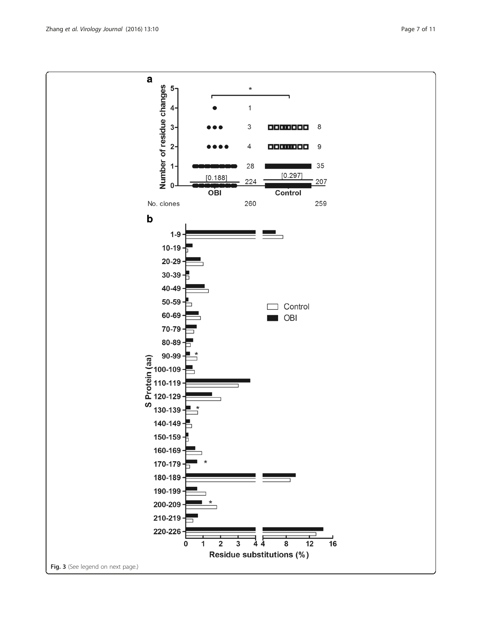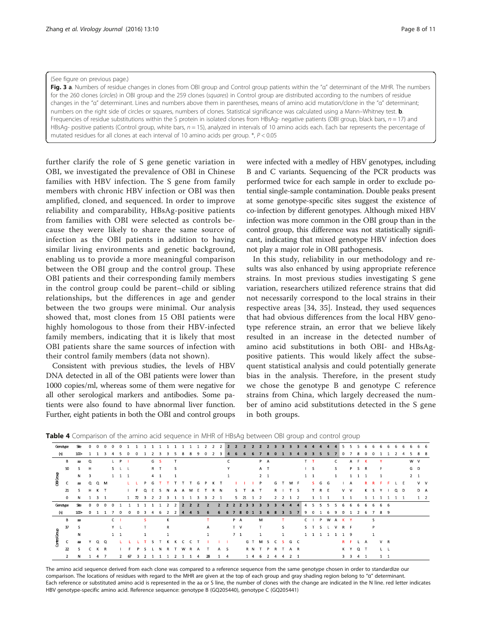#### <span id="page-7-0"></span>(See figure on previous page.)

Fig. 3 a. Numbers of residue changes in clones from OBI group and Control group patients within the "a" determinant of the MHR. The numbers for the 260 clones (circles) in OBI group and the 259 clones (squares) in Control group are distributed according to the numbers of residue changes in the "α" determinant. Lines and numbers above them in parentheses, means of amino acid mutation/clone in the "α" determinant; numbers on the right side of circles or squares, numbers of clones. Statistical significance was calculated using a Mann–Whitney test. **b.** Frequencies of residue substitutions within the S protein in isolated clones from HBsAq- negative patients (OBI group, black bars,  $n = 17$ ) and HBsAg- positive patients (Control group, white bars, n = 15), analyzed in intervals of 10 amino acids each. Each bar represents the percentage of mutated residues for all clones at each interval of 10 amino acids per group. \*, P < 0.05

further clarify the role of S gene genetic variation in OBI, we investigated the prevalence of OBI in Chinese families with HBV infection. The S gene from family members with chronic HBV infection or OBI was then amplified, cloned, and sequenced. In order to improve reliability and comparability, HBsAg-positive patients from families with OBI were selected as controls because they were likely to share the same source of infection as the OBI patients in addition to having similar living environments and genetic background, enabling us to provide a more meaningful comparison between the OBI group and the control group. These OBI patients and their corresponding family members in the control group could be parent–child or sibling relationships, but the differences in age and gender between the two groups were minimal. Our analysis showed that, most clones from 15 OBI patients were highly homologous to those from their HBV-infected family members, indicating that it is likely that most OBI patients share the same sources of infection with their control family members (data not shown).

Consistent with previous studies, the levels of HBV DNA detected in all of the OBI patients were lower than 1000 copies/ml, whereas some of them were negative for all other serological markers and antibodies. Some patients were also found to have abnormal liver function. Further, eight patients in both the OBI and control groups

were infected with a medley of HBV genotypes, including B and C variants. Sequencing of the PCR products was performed twice for each sample in order to exclude potential single-sample contamination. Double peaks present at some genotype-specific sites suggest the existence of co-infection by different genotypes. Although mixed HBV infection was more common in the OBI group than in the control group, this difference was not statistically significant, indicating that mixed genotype HBV infection does not play a major role in OBI pathogenesis.

In this study, reliability in our methodology and results was also enhanced by using appropriate reference strains. In most previous studies investigating S gene variation, researchers utilized reference strains that did not necessarily correspond to the local strains in their respective areas [[34](#page-10-0), [35](#page-10-0)]. Instead, they used sequences that had obvious differences from the local HBV genotype reference strain, an error that we believe likely resulted in an increase in the detected number of amino acid substitutions in both OBI- and HBsAgpositive patients. This would likely affect the subsequent statistical analysis and could potentially generate bias in the analysis. Therefore, in the present study we chose the genotype B and genotype C reference strains from China, which largely decreased the number of amino acid substitutions detected in the S gene in both groups.

| Genotype     |                | <b>Ste</b> | $\Omega$ |             | $\Omega$       |                |             |                |               |            |                |              |    |   |       | $\overline{2}$ | $\overline{2}$ | <sup>2</sup>   | $\overline{2}$ | $\overline{\phantom{a}}$ | $\overline{ }$ | $\overline{\phantom{a}}$ | $\overline{\phantom{a}}$ | $\overline{\phantom{a}}$ |    |             | $\mathbf{a}$   |                |                |           |             |    |              |     |                          |                     |             |              |     |             |         |             |            |  |
|--------------|----------------|------------|----------|-------------|----------------|----------------|-------------|----------------|---------------|------------|----------------|--------------|----|---|-------|----------------|----------------|----------------|----------------|--------------------------|----------------|--------------------------|--------------------------|--------------------------|----|-------------|----------------|----------------|----------------|-----------|-------------|----|--------------|-----|--------------------------|---------------------|-------------|--------------|-----|-------------|---------|-------------|------------|--|
| (n)          |                | $100+$     |          |             |                |                |             |                |               |            |                |              |    |   |       |                |                |                |                |                          |                |                          |                          |                          |    |             |                |                |                |           |             |    |              |     |                          |                     |             |              |     |             |         |             |            |  |
|              | в              | aa         | $\Omega$ |             |                |                | P           |                |               |            | G <sub>S</sub> |              |    |   |       |                |                |                | C              |                          |                |                          |                          | P A                      |    |             |                |                |                |           |             |    | c            |     | А                        |                     |             |              |     |             |         | W V         |            |  |
|              | 50             | s.         | H        |             |                | S <sub>l</sub> |             |                |               |            | R T            |              | -S |   |       |                |                |                | Y              |                          |                |                          |                          | A T                      |    |             |                |                |                | $\vert$ S |             |    | S.           |     | P.                       |                     | S R         |              | F   |             |         | G D         |            |  |
|              |                | N          | 3        |             |                |                | $1 \quad 1$ | $\overline{1}$ |               |            | $4 \quad 1$    |              | -1 |   |       |                |                |                | 1              |                          |                |                          |                          | $2 \quad 1$              |    |             |                |                | $1 \quad 1$    |           |             |    | $\mathbf{1}$ |     |                          | $1 \quad 1 \quad 1$ |             |              |     |             |         | $2 \quad 1$ |            |  |
| OBIGroup     | c              | aa         | Q        | $\Omega$    | M              |                |             |                |               |            |                |              |    |   |       |                |                |                |                |                          |                |                          | P                        |                          | G  |             |                | M F            |                |           | $S$ $G$ $G$ |    |              |     | A                        |                     |             |              |     |             |         |             | $V - V$    |  |
|              | 21             | s.         | H        | K T         |                |                |             |                |               | $^{\circ}$ | s              | N            | A  |   | A M E |                |                | R N            |                | S.                       |                | $\mathbf{A}$             | $\mathsf{T}$             |                          | R  |             |                | T <sub>S</sub> |                |           | R E         |    |              |     | V V                      |                     |             | K S          |     |             | $Q$ $D$ |             | D A        |  |
|              | 0              | N          |          | $3 \quad 1$ |                |                |             |                | $\mathcal{D}$ |            |                |              |    |   |       |                |                | $\overline{1}$ |                |                          | 5 21           |                          | 1 2                      |                          |    | $2 \quad 2$ |                | 1 2            |                |           |             |    |              |     |                          |                     |             |              |     |             |         |             | $1\quad 2$ |  |
| Genotype     |                | Ste        | $\Omega$ | $\Omega$    | $\Omega$       |                |             |                |               |            |                |              |    |   |       |                |                |                |                |                          |                |                          |                          |                          |    |             | $\overline{a}$ |                | $\overline{a}$ |           | 5           |    |              |     |                          |                     | 6           |              | 6 6 |             |         |             |            |  |
| (n)          |                | $100+$     | $\Omega$ |             |                |                |             |                |               |            |                |              |    |   |       | 6              |                |                |                |                          | я              |                          |                          |                          |    |             | 5              |                | 9              |           |             |    |              |     |                          |                     |             |              | 8   | -9          |         |             |            |  |
|              | В              | aa         |          |             |                | C.             |             |                |               | s.         |                | К            |    |   |       |                |                |                |                | P A                      |                |                          | M                        |                          |    |             |                |                | C.             |           | P.          | W  | A            | K Y |                          |                     |             | s            |     |             |         |             |            |  |
|              | 37             | s          |          |             |                | Y L            |             |                |               |            |                | $\mathsf{R}$ |    |   |       | $\mathsf{A}$   |                |                |                | T V                      |                |                          | T                        |                          |    | s           |                |                | S T            |           | S.          |    | $\mathbf{v}$ | R F |                          |                     |             | P            |     |             |         |             |            |  |
|              |                | N          |          |             |                | $1\quad1$      |             |                |               |            |                |              |    |   |       |                |                |                |                | 7 <sub>1</sub>           |                |                          | $\mathbf{1}$             |                          |    |             |                |                | $1\quad1$      |           | -1          | -1 |              | 19  |                          |                     |             | $\mathbf{1}$ |     |             |         |             |            |  |
| Control Grou | c              | aa         |          | $\Omega$    | Q              |                |             |                |               |            |                |              |    |   |       |                |                |                |                |                          |                | G T                      | M                        | S                        | C. |             |                | S G C          |                |           |             |    |              | R.  | - F                      |                     | L A         |              |     | V R         |         |             |            |  |
|              | 22             | S.         |          | К           | R              |                |             |                |               |            |                |              |    | w |       |                |                | A <sub>S</sub> |                |                          |                | R N                      |                          | P                        | R  |             |                | A R            |                |           |             |    |              | K Y |                          | $Q$ T               |             |              |     | t t         |         |             |            |  |
|              | $\overline{2}$ | N          |          | 4           | $\overline{7}$ |                |             | 67             |               |            |                |              |    |   |       | 28             |                |                | $\overline{4}$ |                          |                | 1 4                      | 6                        |                          |    |             |                | 2 1            |                |           |             |    |              | 3   | $\overline{\phantom{a}}$ |                     | $4 \quad 1$ |              |     | $1 \quad 1$ |         |             |            |  |

**Table 4** Comparison of the amino acid sequence in MHR of HBsAg between OBI group and control group

The amino acid sequence derived from each clone was compared to a reference sequence from the same genotype chosen in order to standardize our comparison. The locations of residues with regard to the MHR are given at the top of each group and gray shading region belong to "q" determinant. Each reference or substituted amino acid is represented in the aa or S line, the number of clones with the change are indicated in the N line. red letter indicates HBV genotype-specific amino acid. Reference sequence: genotype B (GQ205440), genotype C (GQ205441)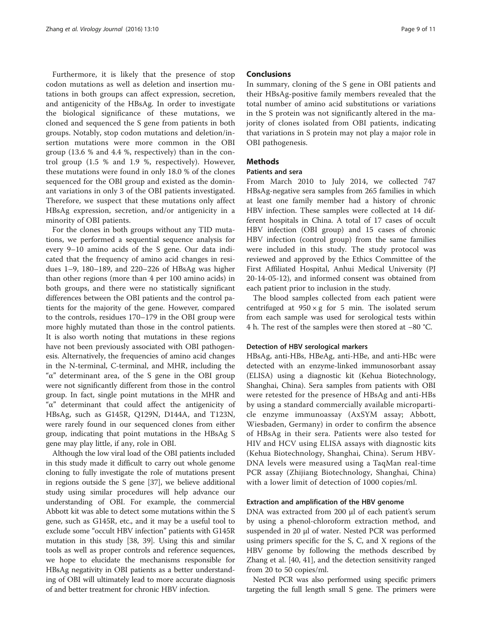Furthermore, it is likely that the presence of stop codon mutations as well as deletion and insertion mutations in both groups can affect expression, secretion, and antigenicity of the HBsAg. In order to investigate the biological significance of these mutations, we cloned and sequenced the S gene from patients in both groups. Notably, stop codon mutations and deletion/insertion mutations were more common in the OBI group (13.6 % and 4.4 %, respectively) than in the control group (1.5 % and 1.9 %, respectively). However, these mutations were found in only 18.0 % of the clones sequenced for the OBI group and existed as the dominant variations in only 3 of the OBI patients investigated. Therefore, we suspect that these mutations only affect HBsAg expression, secretion, and/or antigenicity in a minority of OBI patients.

For the clones in both groups without any TID mutations, we performed a sequential sequence analysis for every 9–10 amino acids of the S gene. Our data indicated that the frequency of amino acid changes in residues 1–9, 180–189, and 220–226 of HBsAg was higher than other regions (more than 4 per 100 amino acids) in both groups, and there were no statistically significant differences between the OBI patients and the control patients for the majority of the gene. However, compared to the controls, residues 170–179 in the OBI group were more highly mutated than those in the control patients. It is also worth noting that mutations in these regions have not been previously associated with OBI pathogenesis. Alternatively, the frequencies of amino acid changes in the N-terminal, C-terminal, and MHR, including the "α" determinant area, of the S gene in the OBI group were not significantly different from those in the control group. In fact, single point mutations in the MHR and "α" determinant that could affect the antigenicity of HBsAg, such as G145R, Q129N, D144A, and T123N, were rarely found in our sequenced clones from either group, indicating that point mutations in the HBsAg S gene may play little, if any, role in OBI.

Although the low viral load of the OBI patients included in this study made it difficult to carry out whole genome cloning to fully investigate the role of mutations present in regions outside the S gene [[37](#page-10-0)], we believe additional study using similar procedures will help advance our understanding of OBI. For example, the commercial Abbott kit was able to detect some mutations within the S gene, such as G145R, etc., and it may be a useful tool to exclude some "occult HBV infection" patients with G145R mutation in this study [[38, 39](#page-10-0)]. Using this and similar tools as well as proper controls and reference sequences, we hope to elucidate the mechanisms responsible for HBsAg negativity in OBI patients as a better understanding of OBI will ultimately lead to more accurate diagnosis of and better treatment for chronic HBV infection.

## **Conclusions**

In summary, cloning of the S gene in OBI patients and their HBsAg-positive family members revealed that the total number of amino acid substitutions or variations in the S protein was not significantly altered in the majority of clones isolated from OBI patients, indicating that variations in S protein may not play a major role in OBI pathogenesis.

## **Methods**

## Patients and sera

From March 2010 to July 2014, we collected 747 HBsAg-negative sera samples from 265 families in which at least one family member had a history of chronic HBV infection. These samples were collected at 14 different hospitals in China. A total of 17 cases of occult HBV infection (OBI group) and 15 cases of chronic HBV infection (control group) from the same families were included in this study. The study protocol was reviewed and approved by the Ethics Committee of the First Affiliated Hospital, Anhui Medical University (PJ 20-14-05-12), and informed consent was obtained from each patient prior to inclusion in the study.

The blood samples collected from each patient were centrifuged at  $950 \times g$  for 5 min. The isolated serum from each sample was used for serological tests within 4 h. The rest of the samples were then stored at −80 °C.

## Detection of HBV serological markers

HBsAg, anti-HBs, HBeAg, anti-HBe, and anti-HBc were detected with an enzyme-linked immunosorbant assay (ELISA) using a diagnostic kit (Kehua Biotechnology, Shanghai, China). Sera samples from patients with OBI were retested for the presence of HBsAg and anti-HBs by using a standard commercially available microparticle enzyme immunoassay (AxSYM assay; Abbott, Wiesbaden, Germany) in order to confirm the absence of HBsAg in their sera. Patients were also tested for HIV and HCV using ELISA assays with diagnostic kits (Kehua Biotechnology, Shanghai, China). Serum HBV-DNA levels were measured using a TaqMan real-time PCR assay (Zhijiang Biotechnology, Shanghai, China) with a lower limit of detection of 1000 copies/ml.

#### Extraction and amplification of the HBV genome

DNA was extracted from 200 μl of each patient's serum by using a phenol-chloroform extraction method, and suspended in 20 μl of water. Nested PCR was performed using primers specific for the S, C, and X regions of the HBV genome by following the methods described by Zhang et al. [[40](#page-10-0), [41](#page-10-0)], and the detection sensitivity ranged from 20 to 50 copies/ml.

Nested PCR was also performed using specific primers targeting the full length small S gene. The primers were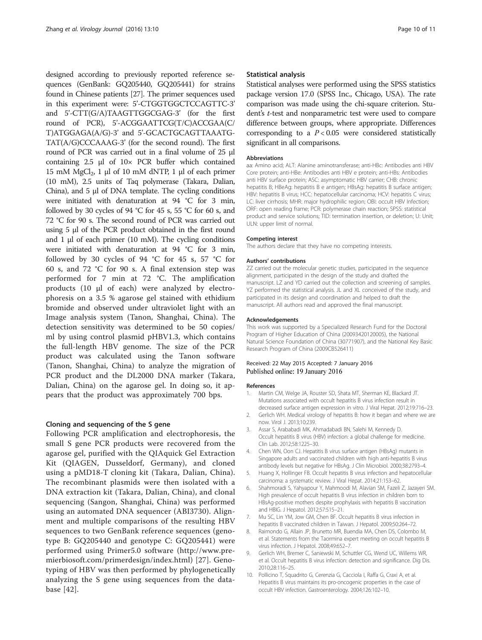<span id="page-9-0"></span>designed according to previously reported reference sequences (GenBank: GQ205440, GQ205441) for strains found in Chinese patients [\[27\]](#page-10-0). The primer sequences used in this experiment were: 5'-CTGGTGGCTCCAGTTC-3' and 5'-CTT(G/A)TAAGTTGGCGAG-3' (for the first round of PCR), 5'-ACGGAATTCG(T/C)ACCGAA(C/ T)ATGGAGA(A/G)-3' and 5'-GCACTGCAGTTAAATG-TAT(A/G)CCCAAAG-3' (for the second round). The first round of PCR was carried out in a final volume of 25 μl containing 2.5 μl of 10× PCR buffer which contained 15 mM MgCl<sub>2</sub>, 1 μl of 10 mM dNTP, 1 μl of each primer (10 mM), 2.5 units of Taq polymerase (Takara, Dalian, China), and 5 μl of DNA template. The cycling conditions were initiated with denaturation at 94 °C for 3 min, followed by 30 cycles of 94  $^{\circ}$ C for 45 s, 55  $^{\circ}$ C for 60 s, and 72 °C for 90 s. The second round of PCR was carried out using 5 μl of the PCR product obtained in the first round and 1 μl of each primer (10 mM). The cycling conditions were initiated with denaturation at 94 °C for 3 min, followed by 30 cycles of 94 °C for 45 s, 57 °C for 60 s, and 72 °C for 90 s. A final extension step was performed for 7 min at 72 °C. The amplification products (10 μl of each) were analyzed by electrophoresis on a 3.5 % agarose gel stained with ethidium bromide and observed under ultraviolet light with an Image analysis system (Tanon, Shanghai, China). The detection sensitivity was determined to be 50 copies/ ml by using control plasmid pHBV1.3, which contains the full-length HBV genome. The size of the PCR product was calculated using the Tanon software (Tanon, Shanghai, China) to analyze the migration of PCR product and the DL2000 DNA marker (Takara, Dalian, China) on the agarose gel. In doing so, it appears that the product was approximately 700 bps.

## Cloning and sequencing of the S gene

Following PCR amplification and electrophoresis, the small S gene PCR products were recovered from the agarose gel, purified with the QIAquick Gel Extraction Kit (QIAGEN, Dusseldorf, Germany), and cloned using a pMD18-T cloning kit (Takara, Dalian, China). The recombinant plasmids were then isolated with a DNA extraction kit (Takara, Dalian, China), and clonal sequencing (Sangon, Shanghai, China) was performed using an automated DNA sequencer (ABI3730). Alignment and multiple comparisons of the resulting HBV sequences to two GenBank reference sequences (genotype B: GQ205440 and genotype C: GQ205441) were performed using Primer5.0 software ([http://www.pre](http://www.premierbiosoft.com/primerdesign/index.html)[mierbiosoft.com/primerdesign/index.html](http://www.premierbiosoft.com/primerdesign/index.html)) [[27](#page-10-0)]. Genotyping of HBV was then performed by phylogenetically analyzing the S gene using sequences from the database [[42\]](#page-10-0).

## Statistical analysis

Statistical analyses were performed using the SPSS statistics package version 17.0 (SPSS Inc., Chicago, USA). The rate comparison was made using the chi-square criterion. Student's t-test and nonparametric test were used to compare difference between groups, where appropriate. Differences corresponding to a  $P < 0.05$  were considered statistically significant in all comparisons.

#### Abbreviations

aa: Amino acid; ALT: Alanine aminotransferase; anti-HBc: Antibodies anti HBV Core protein; anti-HBe: Antibodies anti HBV e protein; anti-HBs: Antibodies anti HBV surface protein; ASC: asymptomatic HBV carrier; CHB: chronic hepatitis B; HBeAg: hepatitis B e antigen; HBsAg: hepatitis B surface antigen; HBV: hepatitis B virus; HCC: hepatocellular carcinoma; HCV: hepatitis C virus; LC: liver cirrhosis; MHR: major hydrophilic region; OBI: occult HBV Infection; ORF: open reading frame; PCR: polymerase chain reaction; SPSS: statistical product and service solutions; TID: termination insertion, or deletion; U: Unit; ULN: upper limit of normal.

#### Competing interest

The authors declare that they have no competing interests.

#### Authors' contributions

ZZ carried out the molecular genetic studies, participated in the sequence alignment, participated in the design of the study and drafted the manuscript. LZ and YD carried out the collection and screening of samples. YZ performed the statistical analysis. JL and XL conceived of the study, and participated in its design and coordination and helped to draft the manuscript. All authors read and approved the final manuscript.

#### Acknowledgements

This work was supported by a Specialized Research Fund for the Doctoral Program of Higher Education of China (20093420120005), the National Natural Science Foundation of China (30771907), and the National Key Basic Research Program of China (2009CB526411)

#### Received: 22 May 2015 Accepted: 7 January 2016 Published online: 19 January 2016

#### References

- 1. Martin CM, Welge JA, Rouster SD, Shata MT, Sherman KE, Blackard JT. Mutations associated with occult hepatitis B virus infection result in decreased surface antigen expression in vitro. J Viral Hepat. 2012;19:716–23.
- 2. Gerlich WH. Medical virology of hepatitis B: how it began and where we are now. Virol J. 2013;10:239.
- 3. Assar S, Arababadi MK, Ahmadabadi BN, Salehi M, Kennedy D. Occult hepatitis B virus (HBV) infection: a global challenge for medicine. Clin Lab. 2012;58:1225–30.
- 4. Chen WN, Oon CJ. Hepatitis B virus surface antigen (HBsAg) mutants in Singapore adults and vaccinated children with high anti-hepatitis B virus antibody levels but negative for HBsAg. J Clin Microbiol. 2000;38:2793–4.
- 5. Huang X, Hollinger FB. Occult hepatitis B virus infection and hepatocellular carcinoma: a systematic review. J Viral Hepat. 2014;21:153–62.
- 6. Shahmoradi S, Yahyapour Y, Mahmoodi M, Alavian SM, Fazeli Z, Jazayeri SM. High prevalence of occult hepatitis B virus infection in children born to HBsAg-positive mothers despite prophylaxis with hepatitis B vaccination and HBIG. J Hepatol. 2012;57:515–21.
- 7. Mu SC, Lin YM, Jow GM, Chen BF. Occult hepatitis B virus infection in hepatitis B vaccinated children in Taiwan. J Hepatol. 2009;50:264–72.
- Raimondo G, Allain JP, Brunetto MR, Buendia MA, Chen DS, Colombo M, et al. Statements from the Taormina expert meeting on occult hepatitis B virus infection. J Hepatol. 2008;49:652–7.
- 9. Gerlich WH, Bremer C, Saniewski M, Schuttler CG, Wend UC, Willems WR, et al. Occult hepatitis B virus infection: detection and significance. Dig Dis. 2010;28:116–25.
- 10. Pollicino T, Squadrito G, Cerenzia G, Cacciola I, Raffa G, Craxi A, et al. Hepatitis B virus maintains its pro-oncogenic properties in the case of occult HBV infection. Gastroenterology. 2004;126:102–10.